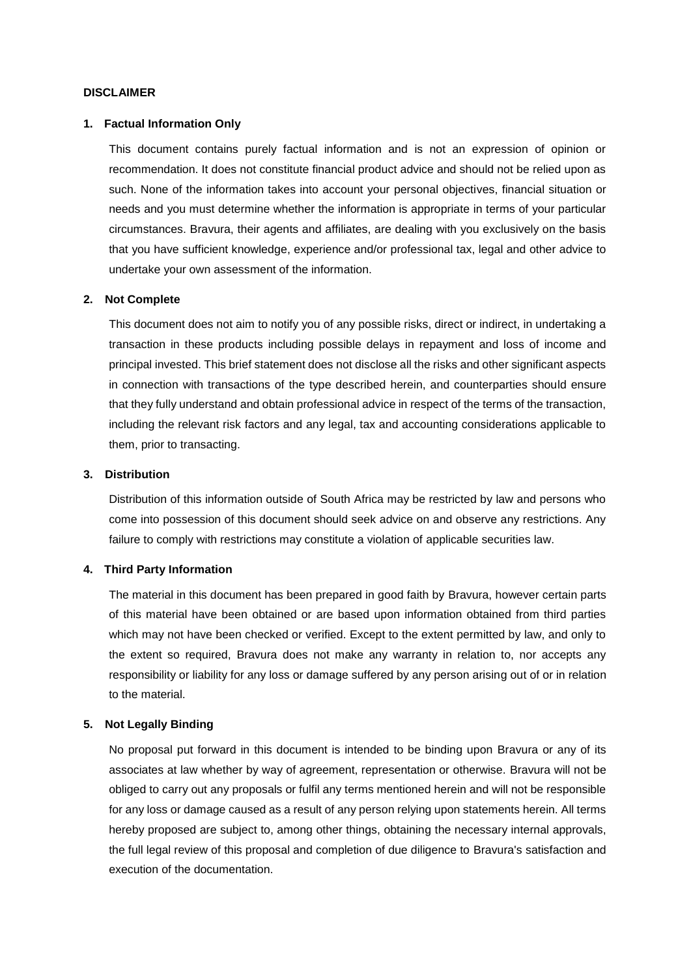#### **DISCLAIMER**

#### **1. Factual Information Only**

This document contains purely factual information and is not an expression of opinion or recommendation. It does not constitute financial product advice and should not be relied upon as such. None of the information takes into account your personal objectives, financial situation or needs and you must determine whether the information is appropriate in terms of your particular circumstances. Bravura, their agents and affiliates, are dealing with you exclusively on the basis that you have sufficient knowledge, experience and/or professional tax, legal and other advice to undertake your own assessment of the information.

## **2. Not Complete**

This document does not aim to notify you of any possible risks, direct or indirect, in undertaking a transaction in these products including possible delays in repayment and loss of income and principal invested. This brief statement does not disclose all the risks and other significant aspects in connection with transactions of the type described herein, and counterparties should ensure that they fully understand and obtain professional advice in respect of the terms of the transaction, including the relevant risk factors and any legal, tax and accounting considerations applicable to them, prior to transacting.

### **3. Distribution**

Distribution of this information outside of South Africa may be restricted by law and persons who come into possession of this document should seek advice on and observe any restrictions. Any failure to comply with restrictions may constitute a violation of applicable securities law.

#### **4. Third Party Information**

The material in this document has been prepared in good faith by Bravura, however certain parts of this material have been obtained or are based upon information obtained from third parties which may not have been checked or verified. Except to the extent permitted by law, and only to the extent so required, Bravura does not make any warranty in relation to, nor accepts any responsibility or liability for any loss or damage suffered by any person arising out of or in relation to the material.

#### **5. Not Legally Binding**

No proposal put forward in this document is intended to be binding upon Bravura or any of its associates at law whether by way of agreement, representation or otherwise. Bravura will not be obliged to carry out any proposals or fulfil any terms mentioned herein and will not be responsible for any loss or damage caused as a result of any person relying upon statements herein. All terms hereby proposed are subject to, among other things, obtaining the necessary internal approvals, the full legal review of this proposal and completion of due diligence to Bravura's satisfaction and execution of the documentation.